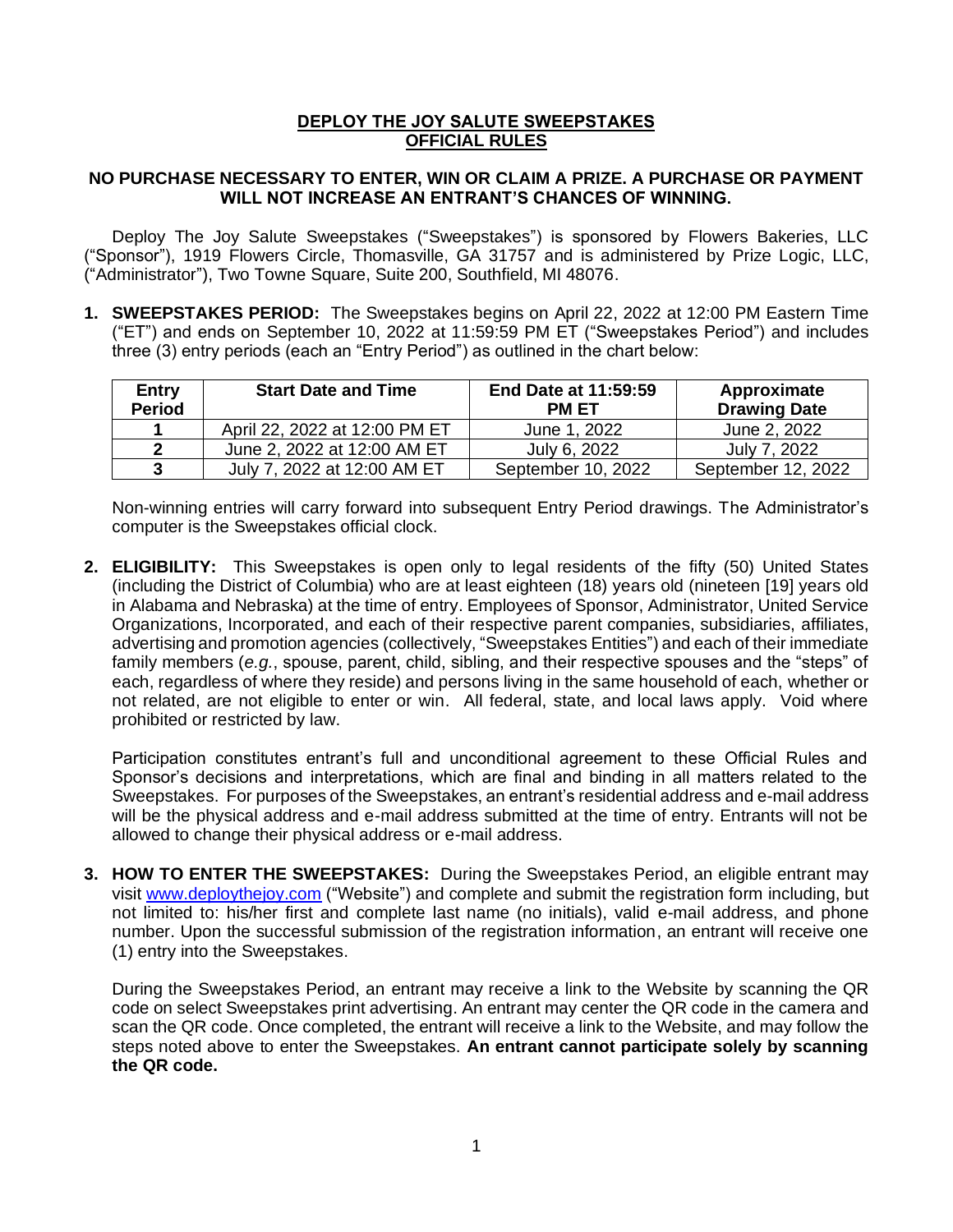## **DEPLOY THE JOY SALUTE SWEEPSTAKES OFFICIAL RULES**

## **NO PURCHASE NECESSARY TO ENTER, WIN OR CLAIM A PRIZE. A PURCHASE OR PAYMENT WILL NOT INCREASE AN ENTRANT'S CHANCES OF WINNING.**

Deploy The Joy Salute Sweepstakes ("Sweepstakes") is sponsored by Flowers Bakeries, LLC ("Sponsor"), 1919 Flowers Circle, Thomasville, GA 31757 and is administered by Prize Logic, LLC, ("Administrator"), Two Towne Square, Suite 200, Southfield, MI 48076.

**1. SWEEPSTAKES PERIOD:** The Sweepstakes begins on April 22, 2022 at 12:00 PM Eastern Time ("ET") and ends on September 10, 2022 at 11:59:59 PM ET ("Sweepstakes Period") and includes three (3) entry periods (each an "Entry Period") as outlined in the chart below:

| <b>Entry</b><br><b>Period</b> | <b>Start Date and Time</b>    | <b>End Date at 11:59:59</b><br><b>PM ET</b> | Approximate<br><b>Drawing Date</b> |
|-------------------------------|-------------------------------|---------------------------------------------|------------------------------------|
|                               | April 22, 2022 at 12:00 PM ET | June 1, 2022                                | June 2, 2022                       |
| $\boldsymbol{\mathcal{P}}$    | June 2, 2022 at 12:00 AM ET   | July 6, 2022                                | July 7, 2022                       |
| 3                             | July 7, 2022 at 12:00 AM ET   | September 10, 2022                          | September 12, 2022                 |

Non-winning entries will carry forward into subsequent Entry Period drawings. The Administrator's computer is the Sweepstakes official clock.

**2. ELIGIBILITY:** This Sweepstakes is open only to legal residents of the fifty (50) United States (including the District of Columbia) who are at least eighteen (18) years old (nineteen [19] years old in Alabama and Nebraska) at the time of entry. Employees of Sponsor, Administrator, United Service Organizations, Incorporated, and each of their respective parent companies, subsidiaries, affiliates, advertising and promotion agencies (collectively, "Sweepstakes Entities") and each of their immediate family members (*e.g.*, spouse, parent, child, sibling, and their respective spouses and the "steps" of each, regardless of where they reside) and persons living in the same household of each, whether or not related, are not eligible to enter or win. All federal, state, and local laws apply. Void where prohibited or restricted by law.

Participation constitutes entrant's full and unconditional agreement to these Official Rules and Sponsor's decisions and interpretations, which are final and binding in all matters related to the Sweepstakes. For purposes of the Sweepstakes, an entrant's residential address and e-mail address will be the physical address and e-mail address submitted at the time of entry. Entrants will not be allowed to change their physical address or e-mail address.

**3. HOW TO ENTER THE SWEEPSTAKES:** During the Sweepstakes Period, an eligible entrant may visit [www.deploythejoy.com](http://www.deploythejoy.com/) ("Website") and complete and submit the registration form including, but not limited to: his/her first and complete last name (no initials), valid e-mail address, and phone number. Upon the successful submission of the registration information, an entrant will receive one (1) entry into the Sweepstakes.

During the Sweepstakes Period, an entrant may receive a link to the Website by scanning the QR code on select Sweepstakes print advertising. An entrant may center the QR code in the camera and scan the QR code. Once completed, the entrant will receive a link to the Website, and may follow the steps noted above to enter the Sweepstakes. **An entrant cannot participate solely by scanning the QR code.**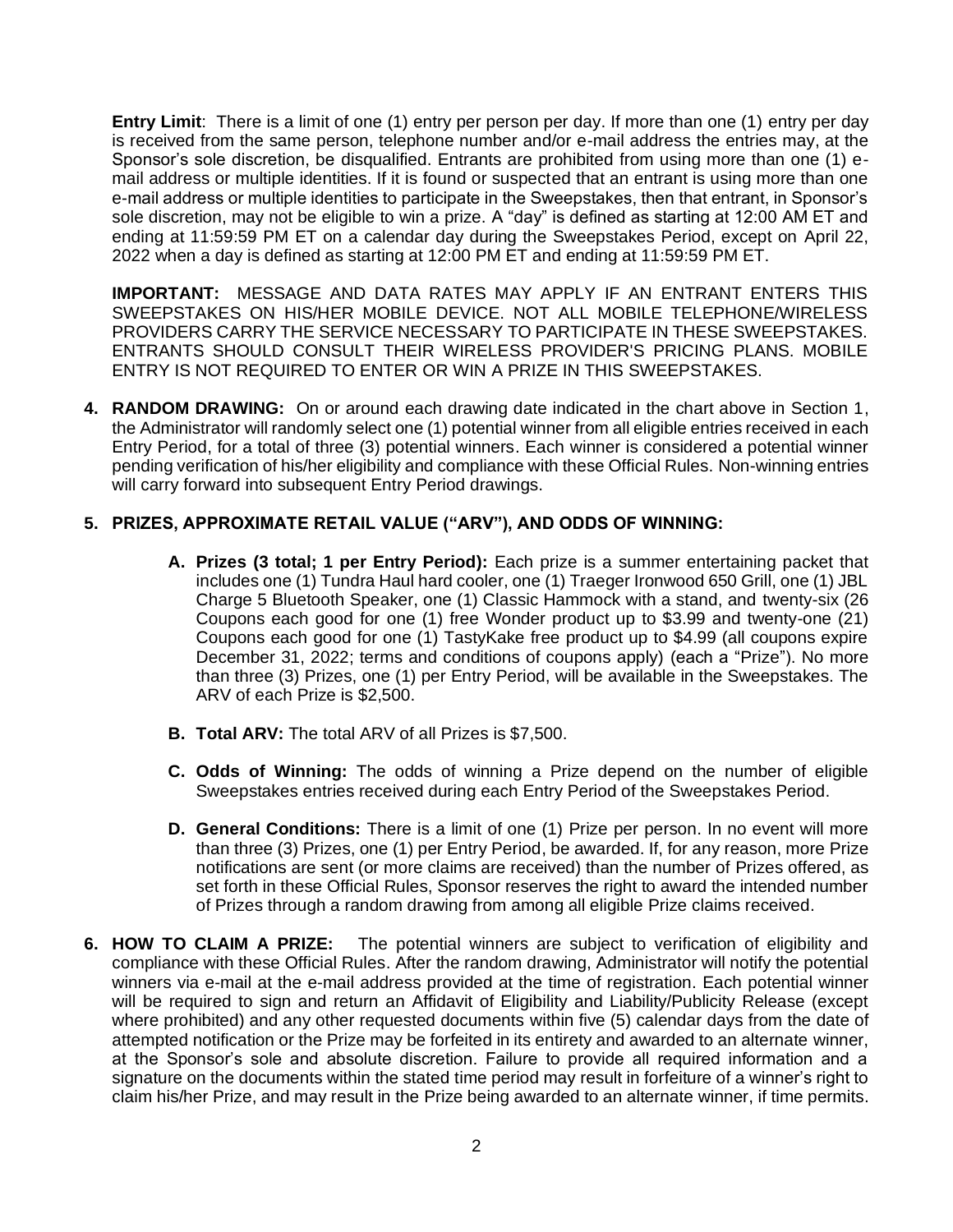**Entry Limit**: There is a limit of one (1) entry per person per day. If more than one (1) entry per day is received from the same person, telephone number and/or e-mail address the entries may, at the Sponsor's sole discretion, be disqualified. Entrants are prohibited from using more than one (1) email address or multiple identities. If it is found or suspected that an entrant is using more than one e-mail address or multiple identities to participate in the Sweepstakes, then that entrant, in Sponsor's sole discretion, may not be eligible to win a prize. A "day" is defined as starting at 12:00 AM ET and ending at 11:59:59 PM ET on a calendar day during the Sweepstakes Period, except on April 22, 2022 when a day is defined as starting at 12:00 PM ET and ending at 11:59:59 PM ET.

**IMPORTANT:** MESSAGE AND DATA RATES MAY APPLY IF AN ENTRANT ENTERS THIS SWEEPSTAKES ON HIS/HER MOBILE DEVICE. NOT ALL MOBILE TELEPHONE/WIRELESS PROVIDERS CARRY THE SERVICE NECESSARY TO PARTICIPATE IN THESE SWEEPSTAKES. ENTRANTS SHOULD CONSULT THEIR WIRELESS PROVIDER'S PRICING PLANS. MOBILE ENTRY IS NOT REQUIRED TO ENTER OR WIN A PRIZE IN THIS SWEEPSTAKES.

**4. RANDOM DRAWING:** On or around each drawing date indicated in the chart above in Section 1, the Administrator will randomly select one (1) potential winner from all eligible entries received in each Entry Period, for a total of three (3) potential winners. Each winner is considered a potential winner pending verification of his/her eligibility and compliance with these Official Rules. Non-winning entries will carry forward into subsequent Entry Period drawings.

## **5. PRIZES, APPROXIMATE RETAIL VALUE ("ARV"), AND ODDS OF WINNING:**

- **A. Prizes (3 total; 1 per Entry Period):** Each prize is a summer entertaining packet that includes one (1) Tundra Haul hard cooler, one (1) Traeger Ironwood 650 Grill, one (1) JBL Charge 5 Bluetooth Speaker, one (1) Classic Hammock with a stand, and twenty-six (26 Coupons each good for one (1) free Wonder product up to \$3.99 and twenty-one (21) Coupons each good for one (1) TastyKake free product up to \$4.99 (all coupons expire December 31, 2022; terms and conditions of coupons apply) (each a "Prize"). No more than three (3) Prizes, one (1) per Entry Period, will be available in the Sweepstakes. The ARV of each Prize is \$2,500.
- **B. Total ARV:** The total ARV of all Prizes is \$7,500.
- **C. Odds of Winning:** The odds of winning a Prize depend on the number of eligible Sweepstakes entries received during each Entry Period of the Sweepstakes Period.
- **D. General Conditions:** There is a limit of one (1) Prize per person. In no event will more than three (3) Prizes, one (1) per Entry Period, be awarded. If, for any reason, more Prize notifications are sent (or more claims are received) than the number of Prizes offered, as set forth in these Official Rules, Sponsor reserves the right to award the intended number of Prizes through a random drawing from among all eligible Prize claims received.
- **6. HOW TO CLAIM A PRIZE:** The potential winners are subject to verification of eligibility and compliance with these Official Rules. After the random drawing, Administrator will notify the potential winners via e-mail at the e-mail address provided at the time of registration. Each potential winner will be required to sign and return an Affidavit of Eligibility and Liability/Publicity Release (except where prohibited) and any other requested documents within five (5) calendar days from the date of attempted notification or the Prize may be forfeited in its entirety and awarded to an alternate winner, at the Sponsor's sole and absolute discretion. Failure to provide all required information and a signature on the documents within the stated time period may result in forfeiture of a winner's right to claim his/her Prize, and may result in the Prize being awarded to an alternate winner, if time permits.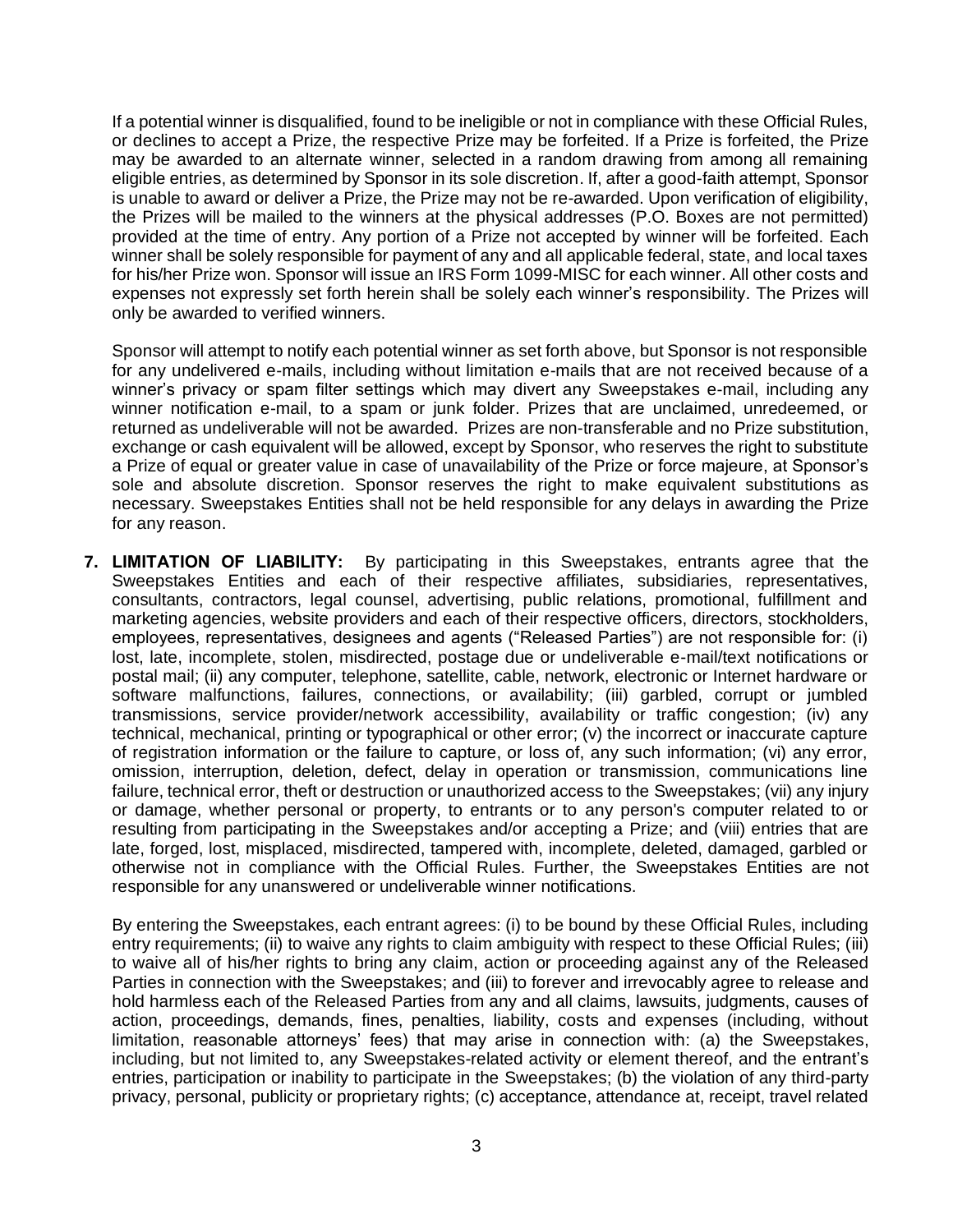If a potential winner is disqualified, found to be ineligible or not in compliance with these Official Rules, or declines to accept a Prize, the respective Prize may be forfeited. If a Prize is forfeited, the Prize may be awarded to an alternate winner, selected in a random drawing from among all remaining eligible entries, as determined by Sponsor in its sole discretion. If, after a good-faith attempt, Sponsor is unable to award or deliver a Prize, the Prize may not be re-awarded. Upon verification of eligibility, the Prizes will be mailed to the winners at the physical addresses (P.O. Boxes are not permitted) provided at the time of entry. Any portion of a Prize not accepted by winner will be forfeited. Each winner shall be solely responsible for payment of any and all applicable federal, state, and local taxes for his/her Prize won. Sponsor will issue an IRS Form 1099-MISC for each winner. All other costs and expenses not expressly set forth herein shall be solely each winner's responsibility. The Prizes will only be awarded to verified winners.

Sponsor will attempt to notify each potential winner as set forth above, but Sponsor is not responsible for any undelivered e-mails, including without limitation e-mails that are not received because of a winner's privacy or spam filter settings which may divert any Sweepstakes e-mail, including any winner notification e-mail, to a spam or junk folder. Prizes that are unclaimed, unredeemed, or returned as undeliverable will not be awarded. Prizes are non-transferable and no Prize substitution, exchange or cash equivalent will be allowed, except by Sponsor, who reserves the right to substitute a Prize of equal or greater value in case of unavailability of the Prize or force majeure, at Sponsor's sole and absolute discretion. Sponsor reserves the right to make equivalent substitutions as necessary. Sweepstakes Entities shall not be held responsible for any delays in awarding the Prize for any reason.

**7. LIMITATION OF LIABILITY:** By participating in this Sweepstakes, entrants agree that the Sweepstakes Entities and each of their respective affiliates, subsidiaries, representatives, consultants, contractors, legal counsel, advertising, public relations, promotional, fulfillment and marketing agencies, website providers and each of their respective officers, directors, stockholders, employees, representatives, designees and agents ("Released Parties") are not responsible for: (i) lost, late, incomplete, stolen, misdirected, postage due or undeliverable e-mail/text notifications or postal mail; (ii) any computer, telephone, satellite, cable, network, electronic or Internet hardware or software malfunctions, failures, connections, or availability; (iii) garbled, corrupt or jumbled transmissions, service provider/network accessibility, availability or traffic congestion; (iv) any technical, mechanical, printing or typographical or other error; (v) the incorrect or inaccurate capture of registration information or the failure to capture, or loss of, any such information; (vi) any error, omission, interruption, deletion, defect, delay in operation or transmission, communications line failure, technical error, theft or destruction or unauthorized access to the Sweepstakes; (vii) any injury or damage, whether personal or property, to entrants or to any person's computer related to or resulting from participating in the Sweepstakes and/or accepting a Prize; and (viii) entries that are late, forged, lost, misplaced, misdirected, tampered with, incomplete, deleted, damaged, garbled or otherwise not in compliance with the Official Rules. Further, the Sweepstakes Entities are not responsible for any unanswered or undeliverable winner notifications.

By entering the Sweepstakes, each entrant agrees: (i) to be bound by these Official Rules, including entry requirements; (ii) to waive any rights to claim ambiguity with respect to these Official Rules; (iii) to waive all of his/her rights to bring any claim, action or proceeding against any of the Released Parties in connection with the Sweepstakes; and (iii) to forever and irrevocably agree to release and hold harmless each of the Released Parties from any and all claims, lawsuits, judgments, causes of action, proceedings, demands, fines, penalties, liability, costs and expenses (including, without limitation, reasonable attorneys' fees) that may arise in connection with: (a) the Sweepstakes, including, but not limited to, any Sweepstakes-related activity or element thereof, and the entrant's entries, participation or inability to participate in the Sweepstakes; (b) the violation of any third-party privacy, personal, publicity or proprietary rights; (c) acceptance, attendance at, receipt, travel related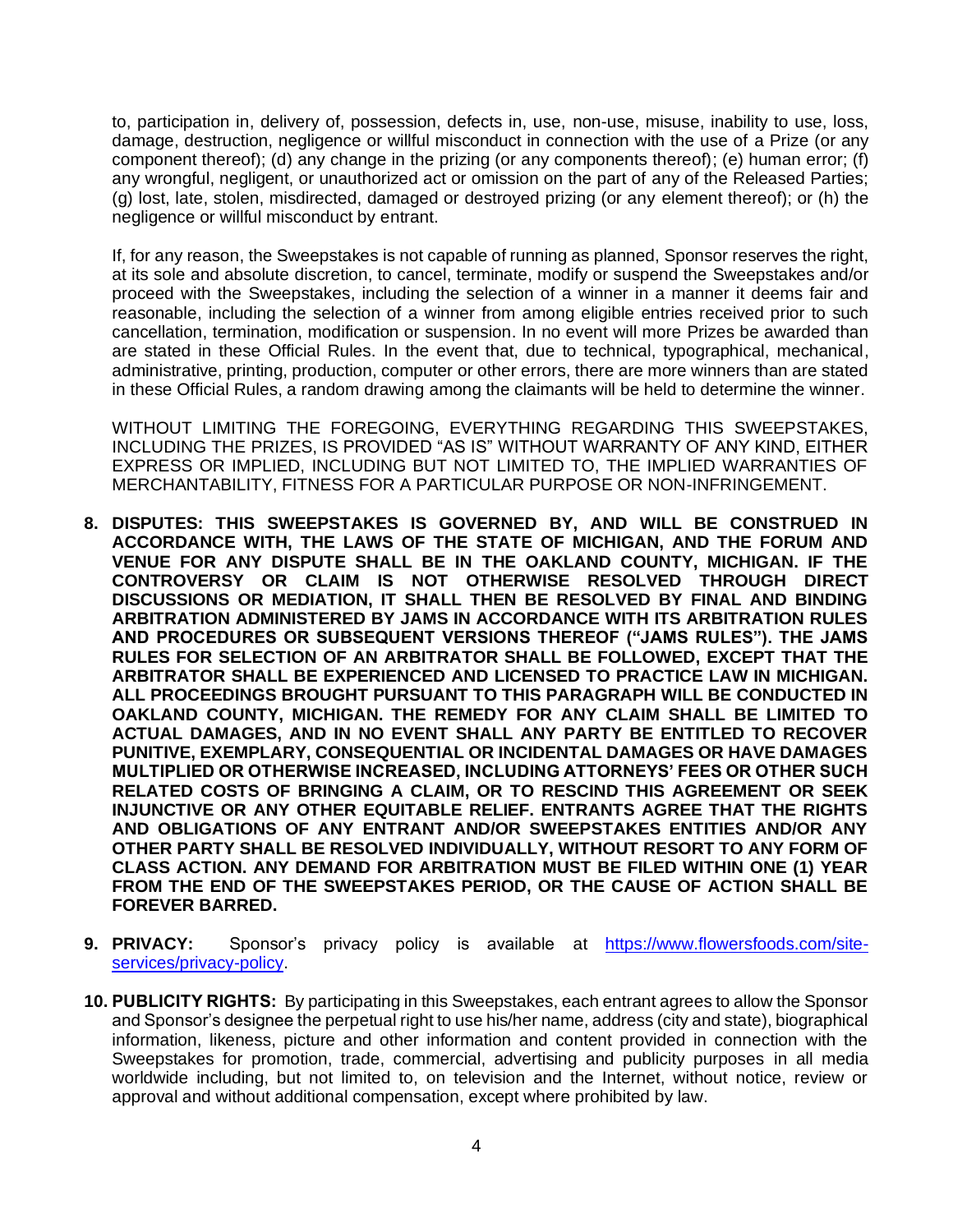to, participation in, delivery of, possession, defects in, use, non-use, misuse, inability to use, loss, damage, destruction, negligence or willful misconduct in connection with the use of a Prize (or any component thereof); (d) any change in the prizing (or any components thereof); (e) human error; (f) any wrongful, negligent, or unauthorized act or omission on the part of any of the Released Parties; (g) lost, late, stolen, misdirected, damaged or destroyed prizing (or any element thereof); or (h) the negligence or willful misconduct by entrant.

If, for any reason, the Sweepstakes is not capable of running as planned, Sponsor reserves the right, at its sole and absolute discretion, to cancel, terminate, modify or suspend the Sweepstakes and/or proceed with the Sweepstakes, including the selection of a winner in a manner it deems fair and reasonable, including the selection of a winner from among eligible entries received prior to such cancellation, termination, modification or suspension. In no event will more Prizes be awarded than are stated in these Official Rules. In the event that, due to technical, typographical, mechanical, administrative, printing, production, computer or other errors, there are more winners than are stated in these Official Rules, a random drawing among the claimants will be held to determine the winner.

WITHOUT LIMITING THE FOREGOING, EVERYTHING REGARDING THIS SWEEPSTAKES, INCLUDING THE PRIZES, IS PROVIDED "AS IS" WITHOUT WARRANTY OF ANY KIND, EITHER EXPRESS OR IMPLIED, INCLUDING BUT NOT LIMITED TO, THE IMPLIED WARRANTIES OF MERCHANTABILITY, FITNESS FOR A PARTICULAR PURPOSE OR NON-INFRINGEMENT.

- **8. DISPUTES: THIS SWEEPSTAKES IS GOVERNED BY, AND WILL BE CONSTRUED IN ACCORDANCE WITH, THE LAWS OF THE STATE OF MICHIGAN, AND THE FORUM AND VENUE FOR ANY DISPUTE SHALL BE IN THE OAKLAND COUNTY, MICHIGAN. IF THE CONTROVERSY OR CLAIM IS NOT OTHERWISE RESOLVED THROUGH DIRECT DISCUSSIONS OR MEDIATION, IT SHALL THEN BE RESOLVED BY FINAL AND BINDING ARBITRATION ADMINISTERED BY JAMS IN ACCORDANCE WITH ITS ARBITRATION RULES AND PROCEDURES OR SUBSEQUENT VERSIONS THEREOF ("JAMS RULES"). THE JAMS RULES FOR SELECTION OF AN ARBITRATOR SHALL BE FOLLOWED, EXCEPT THAT THE ARBITRATOR SHALL BE EXPERIENCED AND LICENSED TO PRACTICE LAW IN MICHIGAN. ALL PROCEEDINGS BROUGHT PURSUANT TO THIS PARAGRAPH WILL BE CONDUCTED IN OAKLAND COUNTY, MICHIGAN. THE REMEDY FOR ANY CLAIM SHALL BE LIMITED TO ACTUAL DAMAGES, AND IN NO EVENT SHALL ANY PARTY BE ENTITLED TO RECOVER PUNITIVE, EXEMPLARY, CONSEQUENTIAL OR INCIDENTAL DAMAGES OR HAVE DAMAGES MULTIPLIED OR OTHERWISE INCREASED, INCLUDING ATTORNEYS' FEES OR OTHER SUCH RELATED COSTS OF BRINGING A CLAIM, OR TO RESCIND THIS AGREEMENT OR SEEK INJUNCTIVE OR ANY OTHER EQUITABLE RELIEF. ENTRANTS AGREE THAT THE RIGHTS AND OBLIGATIONS OF ANY ENTRANT AND/OR SWEEPSTAKES ENTITIES AND/OR ANY OTHER PARTY SHALL BE RESOLVED INDIVIDUALLY, WITHOUT RESORT TO ANY FORM OF CLASS ACTION. ANY DEMAND FOR ARBITRATION MUST BE FILED WITHIN ONE (1) YEAR FROM THE END OF THE SWEEPSTAKES PERIOD, OR THE CAUSE OF ACTION SHALL BE FOREVER BARRED.**
- **9. PRIVACY:** Sponsor's privacy policy is available at [https://www.flowersfoods.com/site](https://www.flowersfoods.com/site-services/privacy-policy)[services/privacy-policy.](https://www.flowersfoods.com/site-services/privacy-policy)
- **10. PUBLICITY RIGHTS:** By participating in this Sweepstakes, each entrant agrees to allow the Sponsor and Sponsor's designee the perpetual right to use his/her name, address (city and state), biographical information, likeness, picture and other information and content provided in connection with the Sweepstakes for promotion, trade, commercial, advertising and publicity purposes in all media worldwide including, but not limited to, on television and the Internet, without notice, review or approval and without additional compensation, except where prohibited by law.